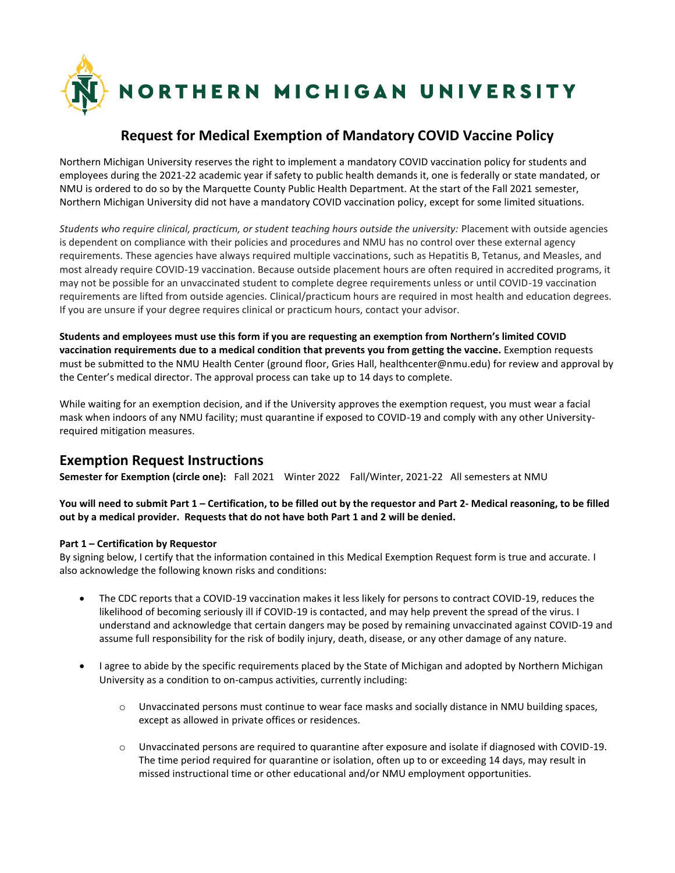

## **Request for Medical Exemption of Mandatory COVID Vaccine Policy**

Northern Michigan University reserves the right to implement a mandatory COVID vaccination policy for students and employees during the 2021-22 academic year if safety to public health demands it, one is federally or state mandated, or NMU is ordered to do so by the Marquette County Public Health Department. At the start of the Fall 2021 semester, Northern Michigan University did not have a mandatory COVID vaccination policy, except for some limited situations.

*Students who require clinical, practicum, or student teaching hours outside the university:* Placement with outside agencies is dependent on compliance with their policies and procedures and NMU has no control over these external agency requirements. These agencies have always required multiple vaccinations, such as Hepatitis B, Tetanus, and Measles, and most already require COVID-19 vaccination. Because outside placement hours are often required in accredited programs, it may not be possible for an unvaccinated student to complete degree requirements unless or until COVID-19 vaccination requirements are lifted from outside agencies. Clinical/practicum hours are required in most health and education degrees. If you are unsure if your degree requires clinical or practicum hours, contact your advisor.

**Students and employees must use this form if you are requesting an exemption from Northern's limited COVID vaccination requirements due to a medical condition that prevents you from getting the vaccine.** Exemption requests must be submitted to the NMU Health Center (ground floor, Gries Hall, healthcenter@nmu.edu) for review and approval by the Center's medical director. The approval process can take up to 14 days to complete.

While waiting for an exemption decision, and if the University approves the exemption request, you must wear a facial mask when indoors of any NMU facility; must quarantine if exposed to COVID-19 and comply with any other Universityrequired mitigation measures.

## **Exemption Request Instructions**

**Semester for Exemption (circle one):** Fall 2021 Winter 2022 Fall/Winter, 2021-22 All semesters at NMU

**You will need to submit Part 1 – Certification, to be filled out by the requestor and Part 2- Medical reasoning, to be filled out by a medical provider. Requests that do not have both Part 1 and 2 will be denied.**

## **Part 1 – Certification by Requestor**

By signing below, I certify that the information contained in this Medical Exemption Request form is true and accurate. I also acknowledge the following known risks and conditions:

- The CDC reports that a COVID-19 vaccination makes it less likely for persons to contract COVID-19, reduces the likelihood of becoming seriously ill if COVID-19 is contacted, and may help prevent the spread of the virus. I understand and acknowledge that certain dangers may be posed by remaining unvaccinated against COVID-19 and assume full responsibility for the risk of bodily injury, death, disease, or any other damage of any nature.
- I agree to abide by the specific requirements placed by the State of Michigan and adopted by Northern Michigan University as a condition to on-campus activities, currently including:
	- o Unvaccinated persons must continue to wear face masks and socially distance in NMU building spaces, except as allowed in private offices or residences.
	- o Unvaccinated persons are required to quarantine after exposure and isolate if diagnosed with COVID-19. The time period required for quarantine or isolation, often up to or exceeding 14 days, may result in missed instructional time or other educational and/or NMU employment opportunities.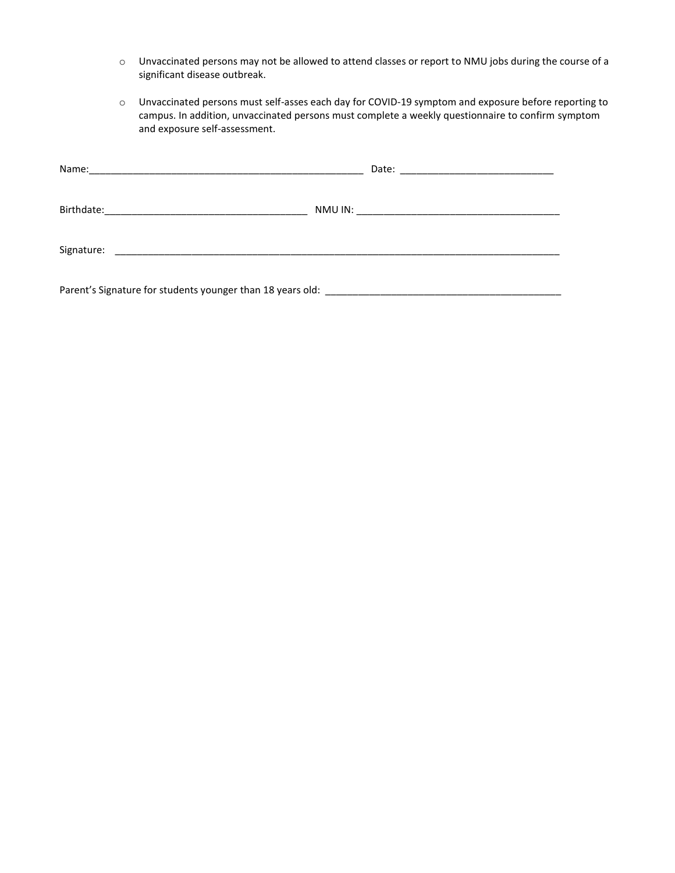- o Unvaccinated persons may not be allowed to attend classes or report to NMU jobs during the course of a significant disease outbreak.
- o Unvaccinated persons must self-asses each day for COVID-19 symptom and exposure before reporting to campus. In addition, unvaccinated persons must complete a weekly questionnaire to confirm symptom and exposure self-assessment.

| Parent's Signature for students younger than 18 years old: National Communications of the Communication of the |  |
|----------------------------------------------------------------------------------------------------------------|--|